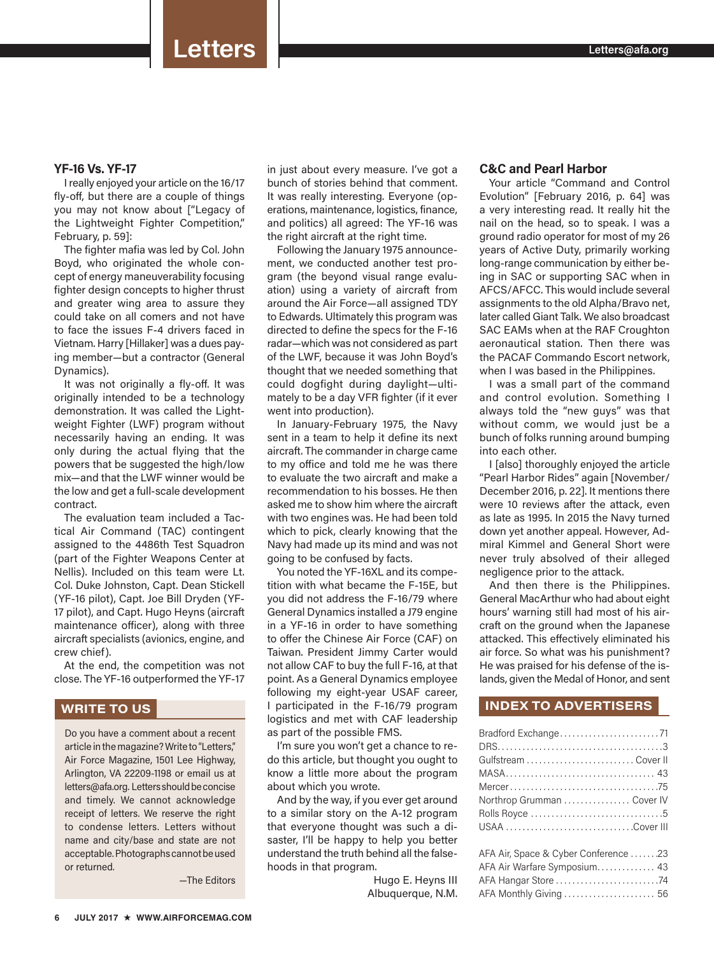## **YF-16 Vs. YF-17**

I really enjoyed your article on the 16/17 fly-off, but there are a couple of things you may not know about ["Legacy of the Lightweight Fighter Competition," February, p. 59]:

The fighter mafia was led by Col. John Boyd, who originated the whole concept of energy maneuverability focusing fighter design concepts to higher thrust and greater wing area to assure they could take on all comers and not have to face the issues F-4 drivers faced in Vietnam. Harry [Hillaker] was a dues paying member—but a contractor (General Dynamics).

It was not originally a fly-off. It was originally intended to be a technology demonstration. It was called the Lightweight Fighter (LWF) program without necessarily having an ending. It was only during the actual flying that the powers that be suggested the high/low mix—and that the LWF winner would be the low and get a full-scale development contract.

The evaluation team included a Tactical Air Command (TAC) contingent assigned to the 4486th Test Squadron (part of the Fighter Weapons Center at Nellis). Included on this team were Lt. Col. Duke Johnston, Capt. Dean Stickell (YF-16 pilot), Capt. Joe Bill Dryden (YF-17 pilot), and Capt. Hugo Heyns (aircraft maintenance officer), along with three aircraft specialists (avionics, engine, and crew chief).

At the end, the competition was not close. The YF-16 outperformed the YF-17

# **WRITE TO US**

Do you have a comment about a recent article in the magazine? Write to "Letters," Air Force Magazine, 1501 Lee Highway, Arlington, VA 22209-1198 or email us at letters@afa.org. Letters should be concise and timely. We cannot acknowledge receipt of letters. We reserve the right to condense letters. Letters without name and city/base and state are not acceptable. Photographs cannot be used or returned.

—The Editors

in just about every measure. I've got a bunch of stories behind that comment. It was really interesting. Everyone (operations, maintenance, logistics, finance, and politics) all agreed: The YF-16 was the right aircraft at the right time.

Following the January 1975 announcement, we conducted another test program (the beyond visual range evaluation) using a variety of aircraft from around the Air Force—all assigned TDY to Edwards. Ultimately this program was directed to define the specs for the F-16 radar—which was not considered as part of the LWF, because it was John Boyd's thought that we needed something that could dogfight during daylight—ultimately to be a day VFR fighter (if it ever went into production).

In January-February 1975, the Navy sent in a team to help it define its next aircraft. The commander in charge came to my office and told me he was there to evaluate the two aircraft and make a recommendation to his bosses. He then asked me to show him where the aircraft with two engines was. He had been told which to pick, clearly knowing that the Navy had made up its mind and was not going to be confused by facts.

You noted the YF-16XL and its competition with what became the F-15E, but you did not address the F-16/79 where General Dynamics installed a J79 engine in a YF-16 in order to have something to offer the Chinese Air Force (CAF) on Taiwan. President Jimmy Carter would not allow CAF to buy the full F-16, at that point. As a General Dynamics employee following my eight-year USAF career, I participated in the F-16/79 program logistics and met with CAF leadership as part of the possible FMS.

I'm sure you won't get a chance to redo this article, but thought you ought to know a little more about the program about which you wrote.

And by the way, if you ever get around to a similar story on the A-12 program that everyone thought was such a disaster, I'll be happy to help you better understand the truth behind all the falsehoods in that program.

> Hugo E. Heyns III Albuquerque, N.M.

# **C&C and Pearl Harbor**

Your article "Command and Control Evolution" [February 2016, p. 64] was a very interesting read. It really hit the nail on the head, so to speak. I was a ground radio operator for most of my 26 years of Active Duty, primarily working long-range communication by either being in SAC or supporting SAC when in AFCS/AFCC. This would include several assignments to the old Alpha/Bravo net, later called Giant Talk. We also broadcast SAC EAMs when at the RAF Croughton aeronautical station. Then there was the PACAF Commando Escort network, when I was based in the Philippines.

I was a small part of the command and control evolution. Something I always told the "new guys" was that without comm, we would just be a bunch of folks running around bumping into each other.

I [also] thoroughly enjoyed the article "Pearl Harbor Rides" again [November/ December 2016, p. 22]. It mentions there were 10 reviews after the attack, even as late as 1995. In 2015 the Navy turned down yet another appeal. However, Admiral Kimmel and General Short were never truly absolved of their alleged negligence prior to the attack.

And then there is the Philippines. General MacArthur who had about eight hours' warning still had most of his aircraft on the ground when the Japanese attacked. This effectively eliminated his air force. So what was his punishment? He was praised for his defense of the islands, given the Medal of Honor, and sent

## **INDEX TO ADVERTISERS**

| Northrop Grumman  Cover IV           |
|--------------------------------------|
|                                      |
| USAA Cover III                       |
|                                      |
| AFA Air, Space & Cyber Conference 23 |
| AFA Air Warfare Symposium 43         |
| AFA Hangar Store 74                  |
| AFA Monthly Giving  56               |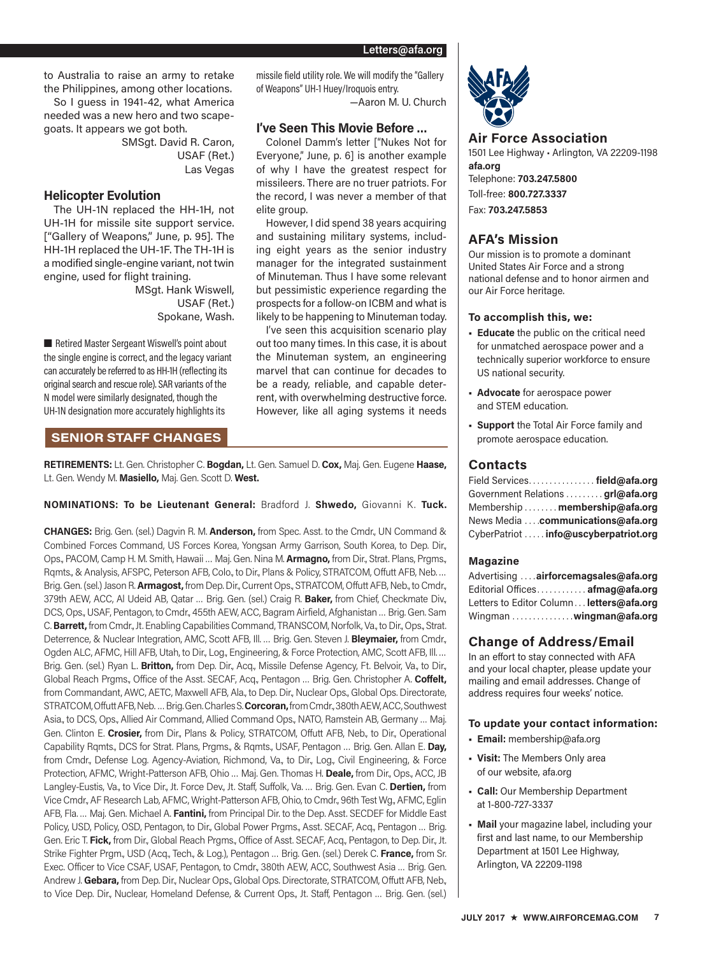—Aaron M. U. Church

missile field utility role. We will modify the "Gallery

**I've Seen This Movie Before …** Colonel Damm's letter ["Nukes Not for Everyone," June, p. 6] is another example of why I have the greatest respect for missileers. There are no truer patriots. For the record, I was never a member of that

However, I did spend 38 years acquiring and sustaining military systems, including eight years as the senior industry manager for the integrated sustainment of Minuteman. Thus I have some relevant but pessimistic experience regarding the prospects for a follow-on ICBM and what is likely to be happening to Minuteman today. I've seen this acquisition scenario play out too many times. In this case, it is about the Minuteman system, an engineering marvel that can continue for decades to be a ready, reliable, and capable deterrent, with overwhelming destructive force. However, like all aging systems it needs

of Weapons" UH-1 Huey/Iroquois entry.

elite group.

to Australia to raise an army to retake the Philippines, among other locations. So I guess in 1941-42, what America needed was a new hero and two scapegoats. It appears we got both.

SMSgt. David R. Caron, USAF (Ret.) Las Vegas

# **Helicopter Evolution**

The UH-1N replaced the HH-1H, not UH-1H for missile site support service. ["Gallery of Weapons," June, p. 95]. The HH-1H replaced the UH-1F. The TH-1H is a modified single-engine variant, not twin engine, used for flight training.

> MSgt. Hank Wiswell, USAF (Ret.) Spokane, Wash.

■ Retired Master Sergeant Wiswell's point about the single engine is correct, and the legacy variant can accurately be referred to as HH-1H (reflecting its original search and rescue role). SAR variants of the N model were similarly designated, though the UH-1N designation more accurately highlights its

# **SENIOR STAFF CHANGES**

**RETIREMENTS:** Lt. Gen. Christopher C. **Bogdan,** Lt. Gen. Samuel D. **Cox,** Maj. Gen. Eugene **Haase,**  Lt. Gen. Wendy M. **Masiello,** Maj. Gen. Scott D. **West.**

### **NOMINATIONS: To be Lieutenant General:** Bradford J. **Shwedo,** Giovanni K. **Tuck.**

**CHANGES:** Brig. Gen. (sel.) Dagvin R. M. **Anderson,** from Spec. Asst. to the Cmdr., UN Command & Combined Forces Command, US Forces Korea, Yongsan Army Garrison, South Korea, to Dep. Dir., Ops., PACOM, Camp H. M. Smith, Hawaii … Maj. Gen. Nina M. **Armagno,** from Dir., Strat. Plans, Prgms., Rqmts., & Analysis, AFSPC, Peterson AFB, Colo., to Dir., Plans & Policy, STRATCOM, Offutt AFB, Neb. … Brig. Gen. (sel.) Jason R. **Armagost,** from Dep. Dir., Current Ops., STRATCOM, Offutt AFB, Neb., to Cmdr., 379th AEW, ACC, Al Udeid AB, Qatar … Brig. Gen. (sel.) Craig R. **Baker,** from Chief, Checkmate Div., DCS, Ops., USAF, Pentagon, to Cmdr., 455th AEW, ACC, Bagram Airfield, Afghanistan … Brig. Gen. Sam C.**Barrett,** from Cmdr., Jt. Enabling Capabilities Command, TRANSCOM, Norfolk, Va., to Dir., Ops., Strat. Deterrence, & Nuclear Integration, AMC, Scott AFB, Ill. … Brig. Gen. Steven J. **Bleymaier,** from Cmdr., Ogden ALC, AFMC, Hill AFB, Utah, to Dir., Log., Engineering, & Force Protection, AMC, Scott AFB, Ill. … Brig. Gen. (sel.) Ryan L. **Britton,** from Dep. Dir., Acq., Missile Defense Agency, Ft. Belvoir, Va., to Dir., Global Reach Prgms., Office of the Asst. SECAF, Acq., Pentagon … Brig. Gen. Christopher A. **Coffelt,** from Commandant, AWC, AETC, Maxwell AFB, Ala., to Dep. Dir., Nuclear Ops., Global Ops. Directorate, STRATCOM, Offutt AFB, Neb. … Brig. Gen. Charles S.**Corcoran,** from Cmdr., 380th AEW, ACC, Southwest Asia., to DCS, Ops., Allied Air Command, Allied Command Ops., NATO, Ramstein AB, Germany … Maj. Gen. Clinton E. **Crosier,** from Dir., Plans & Policy, STRATCOM, Offutt AFB, Neb., to Dir., Operational Capability Rqmts., DCS for Strat. Plans, Prgms., & Rqmts., USAF, Pentagon … Brig. Gen. Allan E. **Day,** from Cmdr., Defense Log. Agency-Aviation, Richmond, Va., to Dir., Log., Civil Engineering, & Force Protection, AFMC, Wright-Patterson AFB, Ohio … Maj. Gen. Thomas H. **Deale,** from Dir., Ops., ACC, JB Langley-Eustis, Va., to Vice Dir., Jt. Force Dev., Jt. Staff, Suffolk, Va. … Brig. Gen. Evan C. **Dertien,** from Vice Cmdr., AF Research Lab, AFMC, Wright-Patterson AFB, Ohio, to Cmdr., 96th Test Wg., AFMC, Eglin AFB, Fla. … Maj. Gen. Michael A. **Fantini,** from Principal Dir. to the Dep. Asst. SECDEF for Middle East Policy, USD, Policy, OSD, Pentagon, to Dir., Global Power Prgms., Asst. SECAF, Acq., Pentagon … Brig. Gen. Eric T. **Fick,** from Dir., Global Reach Prgms., Office of Asst. SECAF, Acq., Pentagon, to Dep. Dir., Jt. Strike Fighter Prgm., USD (Acq., Tech., & Log.), Pentagon … Brig. Gen. (sel.) Derek C. **France,** from Sr. Exec. Officer to Vice CSAF, USAF, Pentagon, to Cmdr., 380th AEW, ACC, Southwest Asia … Brig. Gen. Andrew J. **Gebara,** from Dep. Dir., Nuclear Ops., Global Ops. Directorate, STRATCOM, Offutt AFB, Neb., to Vice Dep. Dir., Nuclear, Homeland Defense, & Current Ops., Jt. Staff, Pentagon ... Brig. Gen. (sel.)



## **Air Force Association**

1501 Lee Highway • Arlington, VA 22209-1198 **afa.org** Telephone: **703.247.5800** Toll-free: **800.727.3337** Fax: **703.247.5853**

# **AFA's Mission**

Our mission is to promote a dominant United States Air Force and a strong national defense and to honor airmen and our Air Force heritage.

#### **To accomplish this, we:**

- **Educate** the public on the critical need for unmatched aerospace power and a technically superior workforce to ensure US national security.
- **Advocate** for aerospace power and STEM education.
- **Support** the Total Air Force family and promote aerospace education.

# **Contacts**

| Field Services field@afa.org          |  |
|---------------------------------------|--|
| Government Relations grl@afa.org      |  |
| Membership  membership@afa.org        |  |
| News Media  communications@afa.org    |  |
| CyberPatriot  info@uscyberpatriot.org |  |

### **Magazine**

Advertising . . . **airforcemagsales@afa.org** Editorial Offices . . . . . . . . . . . . **afmag@afa.org** Letters to Editor Column . . **letters@afa.org** Wingman . . . . . . . . . . . . . . **wingman@afa.org**

# **Change of Address/Email**

In an effort to stay connected with AFA and your local chapter, please update your mailing and email addresses. Change of address requires four weeks' notice.

#### **To update your contact information:**

- **Email:** membership@afa.org
- **Visit:** The Members Only area of our website, afa.org
- **Call:** Our Membership Department at 1-800-727-3337
- **Mail** your magazine label, including your first and last name, to our Membership Department at 1501 Lee Highway, Arlington, VA 22209-1198